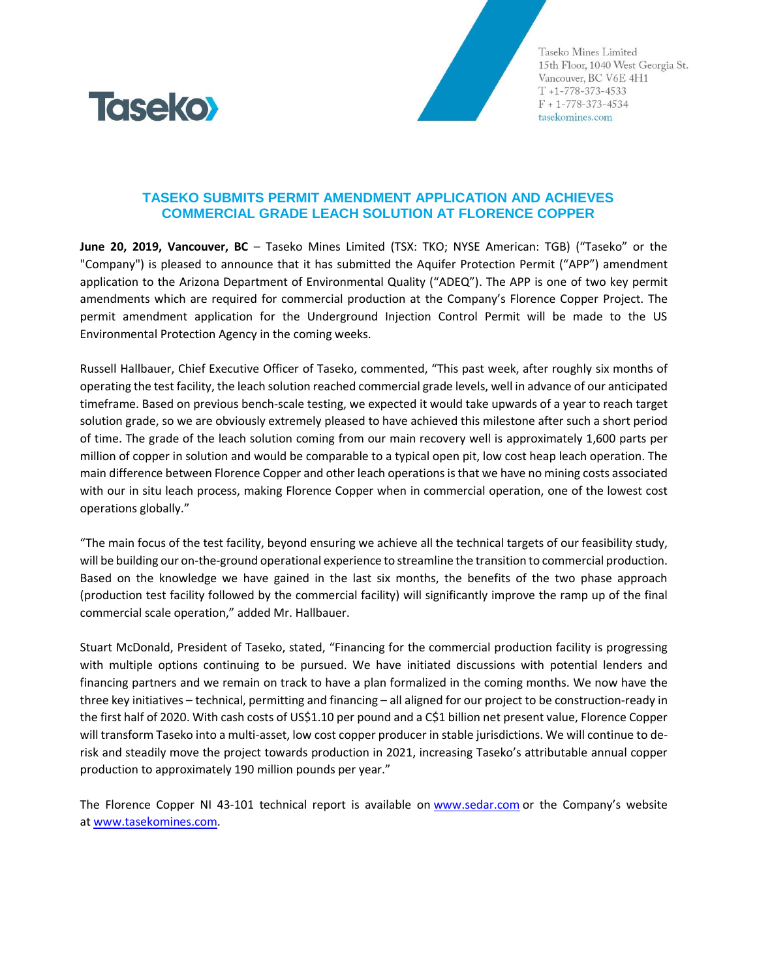

Taseko Mines Limited 15th Floor, 1040 West Georgia St. Vancouver, BC V6E 4H1  $T + 1 - 778 - 373 - 4533$  $F + 1 - 778 - 373 - 4534$ tasekomines.com

## **TASEKO SUBMITS PERMIT AMENDMENT APPLICATION AND ACHIEVES COMMERCIAL GRADE LEACH SOLUTION AT FLORENCE COPPER**

**June 20, 2019, Vancouver, BC** – Taseko Mines Limited (TSX: TKO; NYSE American: TGB) ("Taseko" or the "Company") is pleased to announce that it has submitted the Aquifer Protection Permit ("APP") amendment application to the Arizona Department of Environmental Quality ("ADEQ"). The APP is one of two key permit amendments which are required for commercial production at the Company's Florence Copper Project. The permit amendment application for the Underground Injection Control Permit will be made to the US Environmental Protection Agency in the coming weeks.

Russell Hallbauer, Chief Executive Officer of Taseko, commented, "This past week, after roughly six months of operating the test facility, the leach solution reached commercial grade levels, well in advance of our anticipated timeframe. Based on previous bench-scale testing, we expected it would take upwards of a year to reach target solution grade, so we are obviously extremely pleased to have achieved this milestone after such a short period of time. The grade of the leach solution coming from our main recovery well is approximately 1,600 parts per million of copper in solution and would be comparable to a typical open pit, low cost heap leach operation. The main difference between Florence Copper and other leach operations is that we have no mining costs associated with our in situ leach process, making Florence Copper when in commercial operation, one of the lowest cost operations globally."

"The main focus of the test facility, beyond ensuring we achieve all the technical targets of our feasibility study, will be building our on-the-ground operational experience to streamline the transition to commercial production. Based on the knowledge we have gained in the last six months, the benefits of the two phase approach (production test facility followed by the commercial facility) will significantly improve the ramp up of the final commercial scale operation," added Mr. Hallbauer.

Stuart McDonald, President of Taseko, stated, "Financing for the commercial production facility is progressing with multiple options continuing to be pursued. We have initiated discussions with potential lenders and financing partners and we remain on track to have a plan formalized in the coming months. We now have the three key initiatives – technical, permitting and financing – all aligned for our project to be construction-ready in the first half of 2020. With cash costs of US\$1.10 per pound and a C\$1 billion net present value, Florence Copper will transform Taseko into a multi-asset, low cost copper producer in stable jurisdictions. We will continue to derisk and steadily move the project towards production in 2021, increasing Taseko's attributable annual copper production to approximately 190 million pounds per year."

The Florence Copper NI 43-101 technical report is available on [www.sedar.com](http://www.sedar.com/) or the Company's website at [www.tasekomines.com.](http://www.tasekomines.com/)